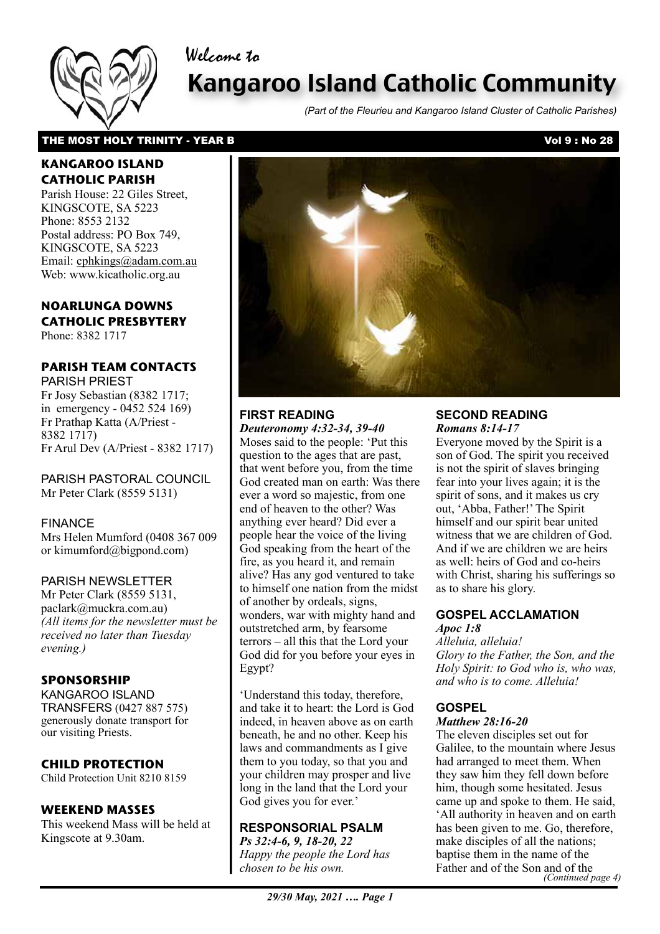

## Kangaroo Island Catholic Community

*(Part of the Fleurieu and Kangaroo Island Cluster of Catholic Parishes)*

#### THE MOST HOLY TRINITY - YEAR B Vol 9 : No 28

Welcome to

#### **KANGAROO ISLAND CATHOLIC PARISH**

Parish House: 22 Giles Street, KINGSCOTE, SA 5223 Phone: 8553 2132 Postal address: PO Box 749, KINGSCOTE, SA 5223 Email: cphkings@adam.com.au Web: www.kicatholic.org.au

#### **NOARLUNGA DOWNS CATHOLIC PRESBYTERY**

Phone: 8382 1717

#### **PARISH TEAM CONTACTS**

PARISH PRIEST Fr Josy Sebastian (8382 1717; in emergency - 0452 524 169) Fr Prathap Katta (A/Priest - 8382 1717) Fr Arul Dev (A/Priest - 8382 1717)

PARISH PASTORAL COUNCIL Mr Peter Clark (8559 5131)

#### FINANCE

Mrs Helen Mumford (0408 367 009 or kimumford@bigpond.com)

#### PARISH NEWSLETTER

Mr Peter Clark (8559 5131, paclark@muckra.com.au) *(All items for the newsletter must be received no later than Tuesday evening.)*

#### **SPONSORSHIP**

KANGAROO ISLAND TRANSFERS (0427 887 575) generously donate transport for our visiting Priests.

#### **CHILD PROTECTION**

Child Protection Unit 8210 8159

#### **WEEKEND MASSES**

This weekend Mass will be held at Kingscote at 9.30am.



### **FIRST READING**

*Deuteronomy 4:32-34, 39-40* Moses said to the people: 'Put this question to the ages that are past, that went before you, from the time God created man on earth: Was there ever a word so majestic, from one end of heaven to the other? Was anything ever heard? Did ever a people hear the voice of the living God speaking from the heart of the fire, as you heard it, and remain alive? Has any god ventured to take to himself one nation from the midst of another by ordeals, signs, wonders, war with mighty hand and outstretched arm, by fearsome terrors – all this that the Lord your God did for you before your eyes in Egypt?

'Understand this today, therefore, and take it to heart: the Lord is God indeed, in heaven above as on earth beneath, he and no other. Keep his laws and commandments as  $\overline{I}$  give them to you today, so that you and your children may prosper and live long in the land that the Lord your God gives you for ever.'

#### **RESPONSORIAL PSALM**

 *chosen to be his own. Ps 32:4-6, 9, 18-20, 22 Happy the people the Lord has* 

#### **SECOND READING** *Romans 8:14-17*

Everyone moved by the Spirit is a son of God. The spirit you received is not the spirit of slaves bringing fear into your lives again; it is the spirit of sons, and it makes us cry out, 'Abba, Father!' The Spirit himself and our spirit bear united witness that we are children of God. And if we are children we are heirs as well: heirs of God and co-heirs with Christ, sharing his sufferings so as to share his glory.

#### **GOSPEL ACCLAMATION** *Apoc 1:8*

*Alleluia, alleluia! Glory to the Father, the Son, and the Holy Spirit: to God who is, who was, and who is to come. Alleluia!*

#### **GOSPEL**

#### *Matthew 28:16-20*

The eleven disciples set out for Galilee, to the mountain where Jesus had arranged to meet them. When they saw him they fell down before him, though some hesitated. Jesus came up and spoke to them. He said, 'All authority in heaven and on earth has been given to me. Go, therefore, make disciples of all the nations; baptise them in the name of the Father and of the Son and of the *(Continued page 4)*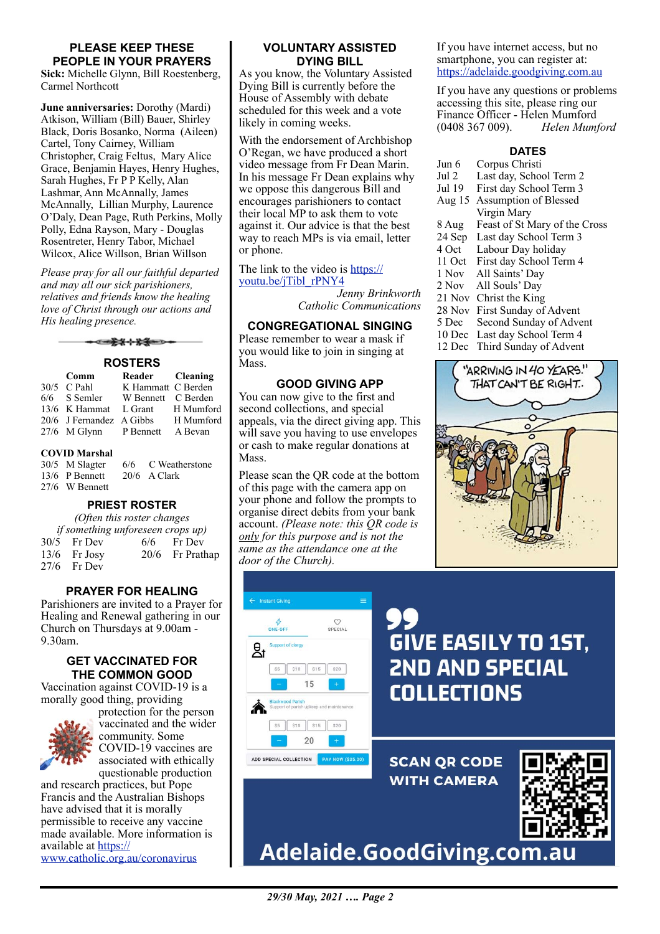#### **PLEASE KEEP THESE PEOPLE IN YOUR PRAYERS**

**Sick:** Michelle Glynn, Bill Roestenberg, Carmel Northcott

**June anniversaries:** Dorothy (Mardi) Atkison, William (Bill) Bauer, Shirley Black, Doris Bosanko, Norma (Aileen) Cartel, Tony Cairney, William Christopher, Craig Feltus, Mary Alice Grace, Benjamin Hayes, Henry Hughes, Sarah Hughes, Fr P P Kelly, Alan Lashmar, Ann McAnnally, James McAnnally, Lillian Murphy, Laurence O'Daly, Dean Page, Ruth Perkins, Molly Polly, Edna Rayson, Mary - Douglas Rosentreter, Henry Tabor, Michael Wilcox, Alice Willson, Brian Willson

*Please pray for all our faithful departed and may all our sick parishioners, relatives and friends know the healing love of Christ through our actions and His healing presence.*



#### **ROSTERS**

|                      | Comm                               | Reader Cleaning    |          |  |  |
|----------------------|------------------------------------|--------------------|----------|--|--|
|                      | $30/5$ C Pahl                      | K Hammatt C Berden |          |  |  |
|                      | 6/6 S Semler W Bennett             |                    | C Berden |  |  |
|                      | 13/6 K Hammat L Grant H Mumford    |                    |          |  |  |
|                      | 20/6 J Fernandez A Gibbs H Mumford |                    |          |  |  |
|                      | 27/6 M Glynn P Bennett A Bevan     |                    |          |  |  |
|                      |                                    |                    |          |  |  |
| <b>COVID Marshal</b> |                                    |                    |          |  |  |
|                      | 30/5 M Slagter                     | 6/6 C Weatherstone |          |  |  |

| $JU/J$ iversity in $JU/J$ | $U/U = U$ weather study |
|---------------------------|-------------------------|
| 13/6 P Bennett            | $20/6$ A Clark          |
| 27/6 W Bennett            |                         |
|                           |                         |

#### **PRIEST ROSTER**

*(Often this roster changes if something unforeseen crops up)*

| $\ddot{v}$ something and or esseen energy |              |                 |
|-------------------------------------------|--------------|-----------------|
| $30/5$ Fr Dev                             | $6/6$ Fr Dev |                 |
| $13/6$ Fr Josy                            |              | 20/6 Fr Prathap |
| $27/6$ Fr Dev                             |              |                 |

#### **PRAYER FOR HEALING**

Parishioners are invited to a Prayer for Healing and Renewal gathering in our Church on Thursdays at 9.00am - 9.30am.

#### **GET VACCINATED FOR THE COMMON GOOD**

Vaccination against COVID-19 is a morally good thing, providing



protection for the person vaccinated and the wider community. Some COVID-19 vaccines are associated with ethically questionable production

and research practices, but Pope Francis and the Australian Bishops have advised that it is morally permissible to receive any vaccine made available. More information is available at [https://](https://www.catholic.org.au/coronavirus) [www.catholic.org.au/coronavirus](https://www.catholic.org.au/coronavirus)

#### **VOLUNTARY ASSISTED DYING BILL**

As you know, the Voluntary Assisted Dying Bill is currently before the House of Assembly with debate scheduled for this week and a vote likely in coming weeks.

With the endorsement of Archbishop O'Regan, we have produced a short video message from Fr Dean Marin. In his message Fr Dean explains why we oppose this dangerous Bill and encourages parishioners to contact their local MP to ask them to vote against it. Our advice is that the best way to reach MPs is via email, letter or phone.

The link to the video is [https://](https://youtu.be/jTibl_rPNY4) [youtu.be/jTibl\\_rPNY4](https://youtu.be/jTibl_rPNY4)

*Jenny Brinkworth Catholic Communications*

#### **CONGREGATIONAL SINGING**

Please remember to wear a mask if you would like to join in singing at Mass.

#### **GOOD GIVING APP**

You can now give to the first and second collections, and special appeals, via the direct giving app. This will save you having to use envelopes or cash to make regular donations at **Mass** 

Please scan the QR code at the bottom of this page with the camera app on your phone and follow the prompts to organise direct debits from your bank account. *(Please note: this QR code is only for this purpose and is not the same as the attendance one at the door of the Church).*

> $\infty$ **SPECIAL**

15

> $$15$ S20

 $20$ 

 $s5$   $s10$ 

ADD SPECIAL COLLECTION

 $\beta_1$ 



If you have any questions or problems accessing this site, please ring our Finance Officer - Helen Mumford (0408 367 009). *Helen Mumford*

#### **DATES**

- Jun 6 Corpus Christi
- Jul 2 Last day, School Term 2<br>Jul 19 First day School Term 3
- First day School Term 3
- Aug 15 Assumption of Blessed Virgin Mary
- 8 Aug Feast of St Mary of the Cross
- 24 Sep Last day School Term 3<br>4 Oct Labour Day holiday
- Labour Day holiday
- 11 Oct First day School Term 4
- 1 Nov All Saints' Day
- 2 Nov All Souls' Day
- 21 Nov Christ the King
- 28 Nov First Sunday of Advent
- 5 Dec Second Sunday of Advent
- 10 Dec Last day School Term 4
- 12 Dec Third Sunday of Advent



# **GIVE EASILY TO 1ST, 2ND AND SPECIAL COLLECTIONS**

**SCAN QR CODE WITH CAMERA** 



Adelaide.GoodGiving.com.au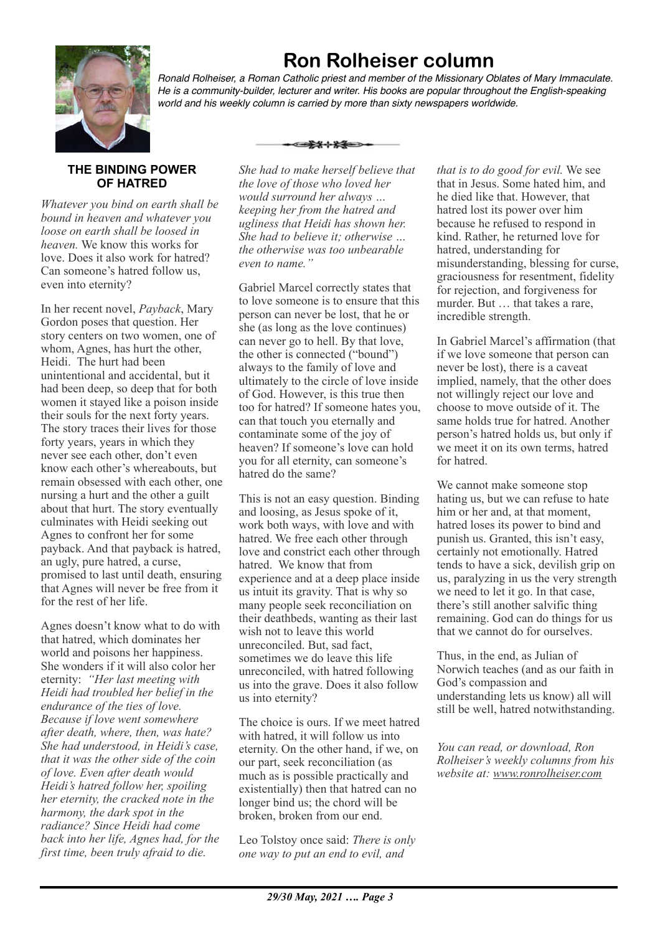

## **Ron Rolheiser column**

*Ronald Rolheiser, a Roman Catholic priest and member of the Missionary Oblates of Mary Immaculate. He is a community-builder, lecturer and writer. His books are popular throughout the English-speaking world and his weekly column is carried by more than sixty newspapers worldwide.*

#### **THE BINDING POWER OF HATRED**

*Whatever you bind on earth shall be bound in heaven and whatever you loose on earth shall be loosed in heaven.* We know this works for love. Does it also work for hatred? Can someone's hatred follow us, even into eternity?

In her recent novel, *Payback*, Mary Gordon poses that question. Her story centers on two women, one of whom, Agnes, has hurt the other, Heidi. The hurt had been unintentional and accidental, but it had been deep, so deep that for both women it stayed like a poison inside their souls for the next forty years. The story traces their lives for those forty years, years in which they never see each other, don't even know each other's whereabouts, but remain obsessed with each other, one nursing a hurt and the other a guilt about that hurt. The story eventually culminates with Heidi seeking out Agnes to confront her for some payback. And that payback is hatred, an ugly, pure hatred, a curse, promised to last until death, ensuring that Agnes will never be free from it for the rest of her life.

Agnes doesn't know what to do with that hatred, which dominates her world and poisons her happiness. She wonders if it will also color her eternity: *"Her last meeting with Heidi had troubled her belief in the endurance of the ties of love. Because if love went somewhere after death, where, then, was hate? She had understood, in Heidi's case, that it was the other side of the coin of love. Even after death would Heidi's hatred follow her, spoiling her eternity, the cracked note in the harmony, the dark spot in the radiance? Since Heidi had come back into her life, Agnes had, for the first time, been truly afraid to die.* 

*She had to make herself believe that the love of those who loved her would surround her always … keeping her from the hatred and ugliness that Heidi has shown her. She had to believe it; otherwise … the otherwise was too unbearable even to name."*

▅<del>▓</del>⊹▓▅⊶

Gabriel Marcel correctly states that to love someone is to ensure that this person can never be lost, that he or she (as long as the love continues) can never go to hell. By that love, the other is connected ("bound") always to the family of love and ultimately to the circle of love inside of God. However, is this true then too for hatred? If someone hates you, can that touch you eternally and contaminate some of the joy of heaven? If someone's love can hold you for all eternity, can someone's hatred do the same?

This is not an easy question. Binding and loosing, as Jesus spoke of it, work both ways, with love and with hatred. We free each other through love and constrict each other through hatred. We know that from experience and at a deep place inside us intuit its gravity. That is why so many people seek reconciliation on their deathbeds, wanting as their last wish not to leave this world unreconciled. But, sad fact, sometimes we do leave this life unreconciled, with hatred following us into the grave. Does it also follow us into eternity?

The choice is ours. If we meet hatred with hatred, it will follow us into eternity. On the other hand, if we, on our part, seek reconciliation (as much as is possible practically and existentially) then that hatred can no longer bind us; the chord will be broken, broken from our end.

Leo Tolstoy once said: *There is only one way to put an end to evil, and* 

*that is to do good for evil.* We see that in Jesus. Some hated him, and he died like that. However, that hatred lost its power over him because he refused to respond in kind. Rather, he returned love for hatred, understanding for misunderstanding, blessing for curse, graciousness for resentment, fidelity for rejection, and forgiveness for murder. But ... that takes a rare, incredible strength.

In Gabriel Marcel's affirmation (that if we love someone that person can never be lost), there is a caveat implied, namely, that the other does not willingly reject our love and choose to move outside of it. The same holds true for hatred. Another person's hatred holds us, but only if we meet it on its own terms, hatred for hatred.

We cannot make someone stop hating us, but we can refuse to hate him or her and, at that moment, hatred loses its power to bind and punish us. Granted, this isn't easy, certainly not emotionally. Hatred tends to have a sick, devilish grip on us, paralyzing in us the very strength we need to let it go. In that case, there's still another salvific thing remaining. God can do things for us that we cannot do for ourselves.

Thus, in the end, as Julian of Norwich teaches (and as our faith in God's compassion and understanding lets us know) all will still be well, hatred notwithstanding.

*You can read, or download, Ron Rolheiser's weekly columns from his website at: www.ronrolheiser.com*